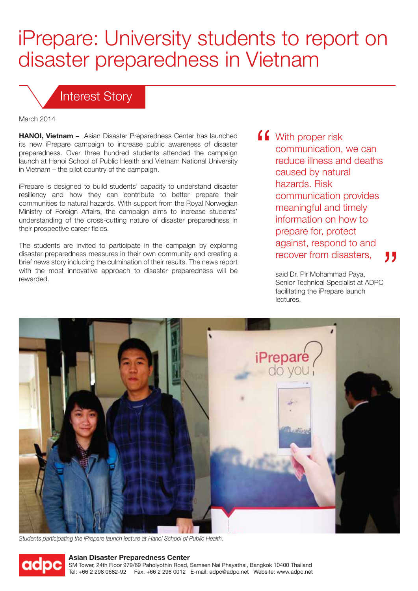## iPrepare: University students to report on disaster preparedness in Vietnam

## Interest Story

March 2014

**HANOI, Vietnam –** Asian Disaster Preparedness Center has launched its new iPrepare campaign to increase public awareness of disaster preparedness. Over three hundred students attended the campaign launch at Hanoi School of Public Health and Vietnam National University in Vietnam – the pilot country of the campaign.

iPrepare is designed to build students' capacity to understand disaster resiliency and how they can contribute to better prepare their communities to natural hazards. With support from the Royal Norwegian Ministry of Foreign Affairs, the campaign aims to increase students' understanding of the cross-cutting nature of disaster preparedness in their prospective career fields.

The students are invited to participate in the campaign by exploring disaster preparedness measures in their own community and creating a brief news story including the culmination of their results. The news report with the most innovative approach to disaster preparedness will be rewarded.

**f** With proper risk communication, we can reduce illness and deaths caused by natural hazards. Risk communication provides meaningful and timely information on how to prepare for, protect against, respond to and recover from disasters, 77

> said Dr. Pir Mohammad Paya, Senior Technical Specialist at ADPC facilitating the iPrepare launch lectures.



*Students participating the iPrepare launch lecture at Hanoi School of Public Health.*



## **Asian Disaster Preparedness Center**

SM Tower, 24th Floor 979/69 Paholyothin Road, Samsen Nai Phayathai, Bangkok 10400 Thailand Tel: +66 2 298 0682-92 Fax: +66 2 298 0012 E-mail: adpc@adpc.net Website: www.adpc.net